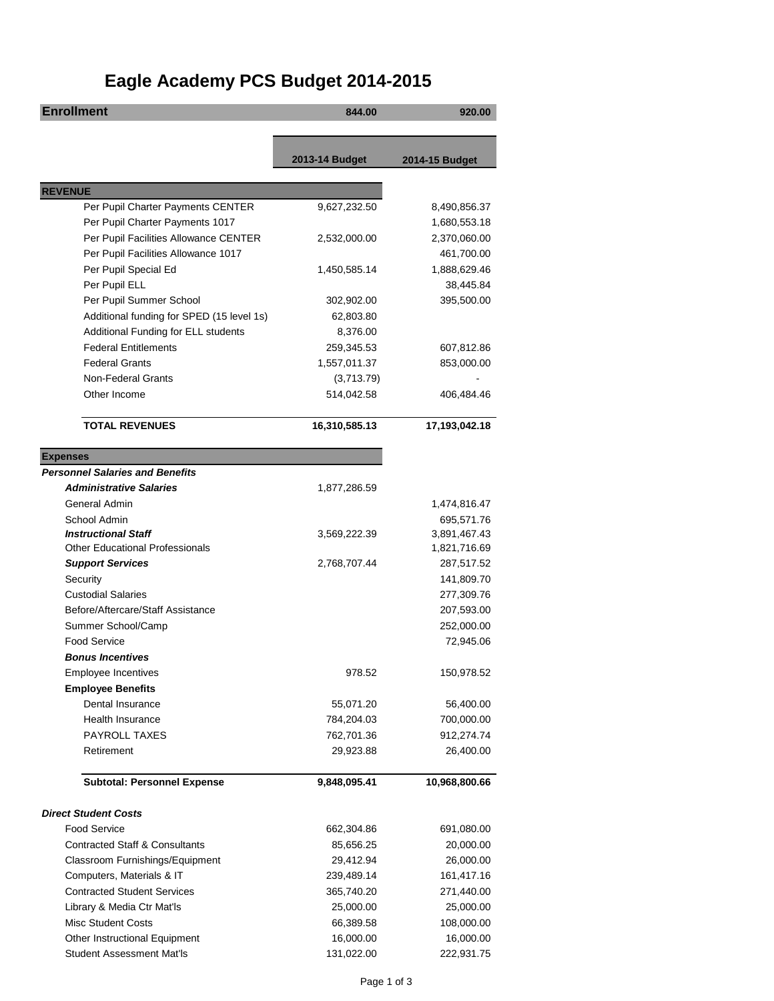## **Eagle Academy PCS Budget 2014-2015**

| <b>Enrollment</b>                         | 844.00         | 920.00         |
|-------------------------------------------|----------------|----------------|
|                                           |                |                |
|                                           |                |                |
|                                           | 2013-14 Budget | 2014-15 Budget |
| <b>REVENUE</b>                            |                |                |
| Per Pupil Charter Payments CENTER         | 9,627,232.50   | 8,490,856.37   |
| Per Pupil Charter Payments 1017           |                | 1,680,553.18   |
| Per Pupil Facilities Allowance CENTER     | 2,532,000.00   | 2,370,060.00   |
| Per Pupil Facilities Allowance 1017       |                | 461,700.00     |
| Per Pupil Special Ed                      | 1,450,585.14   | 1,888,629.46   |
| Per Pupil ELL                             |                | 38,445.84      |
| Per Pupil Summer School                   | 302,902.00     | 395,500.00     |
| Additional funding for SPED (15 level 1s) | 62,803.80      |                |
| Additional Funding for ELL students       | 8,376.00       |                |
| <b>Federal Entitlements</b>               | 259,345.53     | 607,812.86     |
| <b>Federal Grants</b>                     | 1,557,011.37   | 853,000.00     |
| Non-Federal Grants                        | (3,713.79)     |                |
| Other Income                              | 514,042.58     | 406,484.46     |
|                                           |                |                |
| <b>TOTAL REVENUES</b>                     | 16,310,585.13  | 17,193,042.18  |
| <b>Expenses</b>                           |                |                |
| <b>Personnel Salaries and Benefits</b>    |                |                |
| <b>Administrative Salaries</b>            | 1,877,286.59   |                |
| General Admin                             |                | 1,474,816.47   |
| School Admin                              |                | 695,571.76     |
| <b>Instructional Staff</b>                | 3,569,222.39   | 3,891,467.43   |
| <b>Other Educational Professionals</b>    |                | 1,821,716.69   |
| <b>Support Services</b>                   | 2,768,707.44   | 287,517.52     |
| Security                                  |                | 141,809.70     |
| <b>Custodial Salaries</b>                 |                | 277,309.76     |
| Before/Aftercare/Staff Assistance         |                | 207,593.00     |
| Summer School/Camp                        |                | 252,000.00     |
| <b>Food Service</b>                       |                | 72,945.06      |
| <b>Bonus Incentives</b>                   |                |                |
| Employee Incentives                       | 978.52         | 150,978.52     |
| <b>Employee Benefits</b>                  |                |                |
| Dental Insurance                          | 55,071.20      | 56,400.00      |
| Health Insurance                          | 784,204.03     | 700,000.00     |
| PAYROLL TAXES                             | 762,701.36     | 912,274.74     |
| Retirement                                | 29,923.88      | 26,400.00      |
| <b>Subtotal: Personnel Expense</b>        | 9,848,095.41   | 10,968,800.66  |
|                                           |                |                |
| <b>Direct Student Costs</b>               |                |                |
| Food Service                              | 662,304.86     | 691,080.00     |
| <b>Contracted Staff &amp; Consultants</b> | 85,656.25      | 20,000.00      |
| Classroom Furnishings/Equipment           | 29,412.94      | 26,000.00      |
| Computers, Materials & IT                 | 239,489.14     | 161,417.16     |
| <b>Contracted Student Services</b>        | 365,740.20     | 271,440.00     |
| Library & Media Ctr Mat'ls                | 25,000.00      | 25,000.00      |
| <b>Misc Student Costs</b>                 | 66,389.58      | 108,000.00     |
| Other Instructional Equipment             | 16,000.00      | 16,000.00      |
| <b>Student Assessment Mat'ls</b>          | 131,022.00     | 222,931.75     |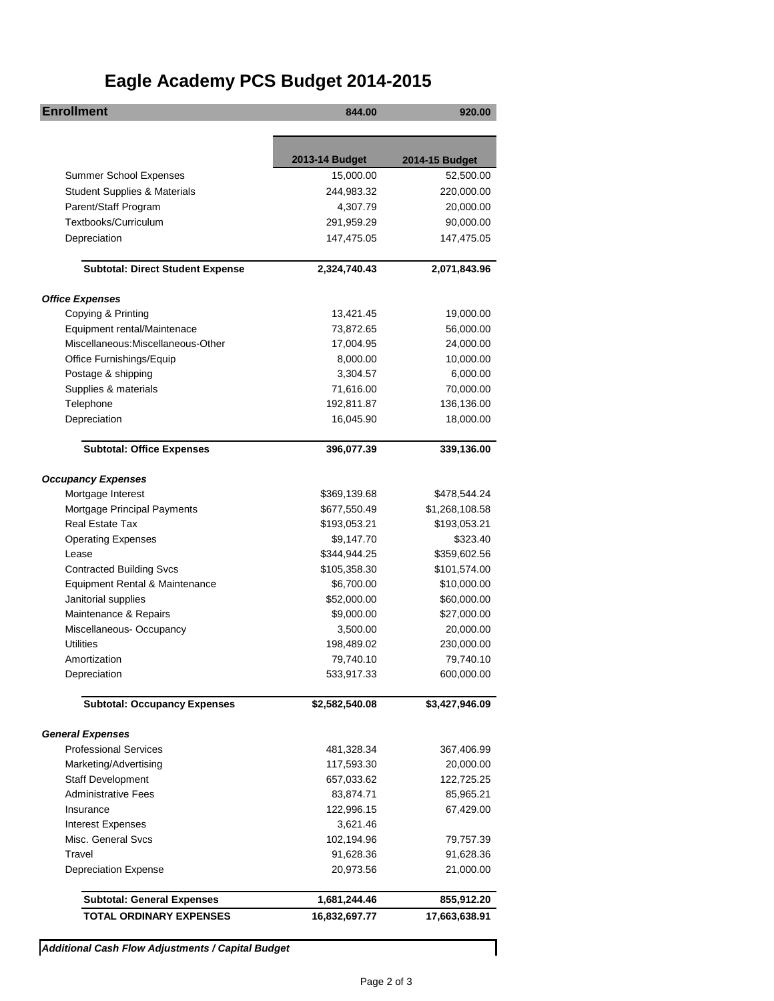## **Eagle Academy PCS Budget 2014-2015**

| 2013-14 Budget<br>2014-15 Budget<br><b>Summer School Expenses</b><br>15,000.00<br>52,500.00<br><b>Student Supplies &amp; Materials</b><br>244,983.32<br>220,000.00<br>Parent/Staff Program<br>4,307.79<br>20,000.00<br>Textbooks/Curriculum<br>291,959.29<br>90,000.00<br>Depreciation<br>147,475.05<br>147,475.05<br><b>Subtotal: Direct Student Expense</b><br>2,324,740.43<br>2,071,843.96<br>Copying & Printing<br>13,421.45<br>19,000.00<br>Equipment rental/Maintenace<br>73,872.65<br>56,000.00<br>Miscellaneous: Miscellaneous-Other<br>17,004.95<br>24,000.00<br>Office Furnishings/Equip<br>8,000.00<br>10,000.00<br>Postage & shipping<br>3,304.57<br>6,000.00<br>Supplies & materials<br>71,616.00<br>70,000.00<br>Telephone<br>192,811.87<br>136,136.00<br>Depreciation<br>16,045.90<br>18,000.00<br><b>Subtotal: Office Expenses</b><br>396,077.39<br>339,136.00<br><b>Occupancy Expenses</b><br>Mortgage Interest<br>\$369,139.68<br>\$478,544.24<br>Mortgage Principal Payments<br>\$677,550.49<br>\$1,268,108.58<br><b>Real Estate Tax</b><br>\$193,053.21<br>\$193,053.21<br><b>Operating Expenses</b><br>\$9,147.70<br>\$323.40<br>\$344,944.25<br>\$359,602.56<br>Lease<br><b>Contracted Building Svcs</b><br>\$105,358.30<br>\$101,574.00<br>Equipment Rental & Maintenance<br>\$6,700.00<br>\$10,000.00<br>Janitorial supplies<br>\$52,000.00<br>\$60,000.00<br>Maintenance & Repairs<br>\$9,000.00<br>\$27,000.00<br>Miscellaneous-Occupancy<br>3,500.00<br>20,000.00<br><b>Utilities</b><br>198,489.02<br>230,000.00<br>Amortization<br>79,740.10<br>79,740.10<br>533,917.33<br>Depreciation<br>600,000.00<br><b>Subtotal: Occupancy Expenses</b><br>\$2,582,540.08<br>\$3,427,946.09<br><b>General Expenses</b><br><b>Professional Services</b><br>481,328.34<br>367,406.99<br>Marketing/Advertising<br>117,593.30<br>20,000.00<br><b>Staff Development</b><br>657,033.62<br>122,725.25<br><b>Administrative Fees</b><br>83,874.71<br>85,965.21<br>122,996.15<br>Insurance<br>67,429.00<br><b>Interest Expenses</b><br>3,621.46<br>Misc. General Svcs<br>102,194.96<br>79,757.39<br>Travel<br>91,628.36<br>91,628.36<br><b>Depreciation Expense</b><br>21,000.00<br>20,973.56<br><b>Subtotal: General Expenses</b><br>1,681,244.46<br>855,912.20<br><b>TOTAL ORDINARY EXPENSES</b><br>16,832,697.77<br>17,663,638.91 | <b>Enrollment</b>      | 844.00 | 920.00 |
|-----------------------------------------------------------------------------------------------------------------------------------------------------------------------------------------------------------------------------------------------------------------------------------------------------------------------------------------------------------------------------------------------------------------------------------------------------------------------------------------------------------------------------------------------------------------------------------------------------------------------------------------------------------------------------------------------------------------------------------------------------------------------------------------------------------------------------------------------------------------------------------------------------------------------------------------------------------------------------------------------------------------------------------------------------------------------------------------------------------------------------------------------------------------------------------------------------------------------------------------------------------------------------------------------------------------------------------------------------------------------------------------------------------------------------------------------------------------------------------------------------------------------------------------------------------------------------------------------------------------------------------------------------------------------------------------------------------------------------------------------------------------------------------------------------------------------------------------------------------------------------------------------------------------------------------------------------------------------------------------------------------------------------------------------------------------------------------------------------------------------------------------------------------------------------------------------------------------------------------------------------------------------------------------------------------------------------------------------|------------------------|--------|--------|
|                                                                                                                                                                                                                                                                                                                                                                                                                                                                                                                                                                                                                                                                                                                                                                                                                                                                                                                                                                                                                                                                                                                                                                                                                                                                                                                                                                                                                                                                                                                                                                                                                                                                                                                                                                                                                                                                                                                                                                                                                                                                                                                                                                                                                                                                                                                                               |                        |        |        |
|                                                                                                                                                                                                                                                                                                                                                                                                                                                                                                                                                                                                                                                                                                                                                                                                                                                                                                                                                                                                                                                                                                                                                                                                                                                                                                                                                                                                                                                                                                                                                                                                                                                                                                                                                                                                                                                                                                                                                                                                                                                                                                                                                                                                                                                                                                                                               |                        |        |        |
|                                                                                                                                                                                                                                                                                                                                                                                                                                                                                                                                                                                                                                                                                                                                                                                                                                                                                                                                                                                                                                                                                                                                                                                                                                                                                                                                                                                                                                                                                                                                                                                                                                                                                                                                                                                                                                                                                                                                                                                                                                                                                                                                                                                                                                                                                                                                               |                        |        |        |
|                                                                                                                                                                                                                                                                                                                                                                                                                                                                                                                                                                                                                                                                                                                                                                                                                                                                                                                                                                                                                                                                                                                                                                                                                                                                                                                                                                                                                                                                                                                                                                                                                                                                                                                                                                                                                                                                                                                                                                                                                                                                                                                                                                                                                                                                                                                                               |                        |        |        |
|                                                                                                                                                                                                                                                                                                                                                                                                                                                                                                                                                                                                                                                                                                                                                                                                                                                                                                                                                                                                                                                                                                                                                                                                                                                                                                                                                                                                                                                                                                                                                                                                                                                                                                                                                                                                                                                                                                                                                                                                                                                                                                                                                                                                                                                                                                                                               |                        |        |        |
|                                                                                                                                                                                                                                                                                                                                                                                                                                                                                                                                                                                                                                                                                                                                                                                                                                                                                                                                                                                                                                                                                                                                                                                                                                                                                                                                                                                                                                                                                                                                                                                                                                                                                                                                                                                                                                                                                                                                                                                                                                                                                                                                                                                                                                                                                                                                               |                        |        |        |
|                                                                                                                                                                                                                                                                                                                                                                                                                                                                                                                                                                                                                                                                                                                                                                                                                                                                                                                                                                                                                                                                                                                                                                                                                                                                                                                                                                                                                                                                                                                                                                                                                                                                                                                                                                                                                                                                                                                                                                                                                                                                                                                                                                                                                                                                                                                                               |                        |        |        |
|                                                                                                                                                                                                                                                                                                                                                                                                                                                                                                                                                                                                                                                                                                                                                                                                                                                                                                                                                                                                                                                                                                                                                                                                                                                                                                                                                                                                                                                                                                                                                                                                                                                                                                                                                                                                                                                                                                                                                                                                                                                                                                                                                                                                                                                                                                                                               |                        |        |        |
|                                                                                                                                                                                                                                                                                                                                                                                                                                                                                                                                                                                                                                                                                                                                                                                                                                                                                                                                                                                                                                                                                                                                                                                                                                                                                                                                                                                                                                                                                                                                                                                                                                                                                                                                                                                                                                                                                                                                                                                                                                                                                                                                                                                                                                                                                                                                               |                        |        |        |
|                                                                                                                                                                                                                                                                                                                                                                                                                                                                                                                                                                                                                                                                                                                                                                                                                                                                                                                                                                                                                                                                                                                                                                                                                                                                                                                                                                                                                                                                                                                                                                                                                                                                                                                                                                                                                                                                                                                                                                                                                                                                                                                                                                                                                                                                                                                                               |                        |        |        |
|                                                                                                                                                                                                                                                                                                                                                                                                                                                                                                                                                                                                                                                                                                                                                                                                                                                                                                                                                                                                                                                                                                                                                                                                                                                                                                                                                                                                                                                                                                                                                                                                                                                                                                                                                                                                                                                                                                                                                                                                                                                                                                                                                                                                                                                                                                                                               | <b>Office Expenses</b> |        |        |
|                                                                                                                                                                                                                                                                                                                                                                                                                                                                                                                                                                                                                                                                                                                                                                                                                                                                                                                                                                                                                                                                                                                                                                                                                                                                                                                                                                                                                                                                                                                                                                                                                                                                                                                                                                                                                                                                                                                                                                                                                                                                                                                                                                                                                                                                                                                                               |                        |        |        |
|                                                                                                                                                                                                                                                                                                                                                                                                                                                                                                                                                                                                                                                                                                                                                                                                                                                                                                                                                                                                                                                                                                                                                                                                                                                                                                                                                                                                                                                                                                                                                                                                                                                                                                                                                                                                                                                                                                                                                                                                                                                                                                                                                                                                                                                                                                                                               |                        |        |        |
|                                                                                                                                                                                                                                                                                                                                                                                                                                                                                                                                                                                                                                                                                                                                                                                                                                                                                                                                                                                                                                                                                                                                                                                                                                                                                                                                                                                                                                                                                                                                                                                                                                                                                                                                                                                                                                                                                                                                                                                                                                                                                                                                                                                                                                                                                                                                               |                        |        |        |
|                                                                                                                                                                                                                                                                                                                                                                                                                                                                                                                                                                                                                                                                                                                                                                                                                                                                                                                                                                                                                                                                                                                                                                                                                                                                                                                                                                                                                                                                                                                                                                                                                                                                                                                                                                                                                                                                                                                                                                                                                                                                                                                                                                                                                                                                                                                                               |                        |        |        |
|                                                                                                                                                                                                                                                                                                                                                                                                                                                                                                                                                                                                                                                                                                                                                                                                                                                                                                                                                                                                                                                                                                                                                                                                                                                                                                                                                                                                                                                                                                                                                                                                                                                                                                                                                                                                                                                                                                                                                                                                                                                                                                                                                                                                                                                                                                                                               |                        |        |        |
|                                                                                                                                                                                                                                                                                                                                                                                                                                                                                                                                                                                                                                                                                                                                                                                                                                                                                                                                                                                                                                                                                                                                                                                                                                                                                                                                                                                                                                                                                                                                                                                                                                                                                                                                                                                                                                                                                                                                                                                                                                                                                                                                                                                                                                                                                                                                               |                        |        |        |
|                                                                                                                                                                                                                                                                                                                                                                                                                                                                                                                                                                                                                                                                                                                                                                                                                                                                                                                                                                                                                                                                                                                                                                                                                                                                                                                                                                                                                                                                                                                                                                                                                                                                                                                                                                                                                                                                                                                                                                                                                                                                                                                                                                                                                                                                                                                                               |                        |        |        |
|                                                                                                                                                                                                                                                                                                                                                                                                                                                                                                                                                                                                                                                                                                                                                                                                                                                                                                                                                                                                                                                                                                                                                                                                                                                                                                                                                                                                                                                                                                                                                                                                                                                                                                                                                                                                                                                                                                                                                                                                                                                                                                                                                                                                                                                                                                                                               |                        |        |        |
|                                                                                                                                                                                                                                                                                                                                                                                                                                                                                                                                                                                                                                                                                                                                                                                                                                                                                                                                                                                                                                                                                                                                                                                                                                                                                                                                                                                                                                                                                                                                                                                                                                                                                                                                                                                                                                                                                                                                                                                                                                                                                                                                                                                                                                                                                                                                               |                        |        |        |
|                                                                                                                                                                                                                                                                                                                                                                                                                                                                                                                                                                                                                                                                                                                                                                                                                                                                                                                                                                                                                                                                                                                                                                                                                                                                                                                                                                                                                                                                                                                                                                                                                                                                                                                                                                                                                                                                                                                                                                                                                                                                                                                                                                                                                                                                                                                                               |                        |        |        |
|                                                                                                                                                                                                                                                                                                                                                                                                                                                                                                                                                                                                                                                                                                                                                                                                                                                                                                                                                                                                                                                                                                                                                                                                                                                                                                                                                                                                                                                                                                                                                                                                                                                                                                                                                                                                                                                                                                                                                                                                                                                                                                                                                                                                                                                                                                                                               |                        |        |        |
|                                                                                                                                                                                                                                                                                                                                                                                                                                                                                                                                                                                                                                                                                                                                                                                                                                                                                                                                                                                                                                                                                                                                                                                                                                                                                                                                                                                                                                                                                                                                                                                                                                                                                                                                                                                                                                                                                                                                                                                                                                                                                                                                                                                                                                                                                                                                               |                        |        |        |
|                                                                                                                                                                                                                                                                                                                                                                                                                                                                                                                                                                                                                                                                                                                                                                                                                                                                                                                                                                                                                                                                                                                                                                                                                                                                                                                                                                                                                                                                                                                                                                                                                                                                                                                                                                                                                                                                                                                                                                                                                                                                                                                                                                                                                                                                                                                                               |                        |        |        |
|                                                                                                                                                                                                                                                                                                                                                                                                                                                                                                                                                                                                                                                                                                                                                                                                                                                                                                                                                                                                                                                                                                                                                                                                                                                                                                                                                                                                                                                                                                                                                                                                                                                                                                                                                                                                                                                                                                                                                                                                                                                                                                                                                                                                                                                                                                                                               |                        |        |        |
|                                                                                                                                                                                                                                                                                                                                                                                                                                                                                                                                                                                                                                                                                                                                                                                                                                                                                                                                                                                                                                                                                                                                                                                                                                                                                                                                                                                                                                                                                                                                                                                                                                                                                                                                                                                                                                                                                                                                                                                                                                                                                                                                                                                                                                                                                                                                               |                        |        |        |
|                                                                                                                                                                                                                                                                                                                                                                                                                                                                                                                                                                                                                                                                                                                                                                                                                                                                                                                                                                                                                                                                                                                                                                                                                                                                                                                                                                                                                                                                                                                                                                                                                                                                                                                                                                                                                                                                                                                                                                                                                                                                                                                                                                                                                                                                                                                                               |                        |        |        |
|                                                                                                                                                                                                                                                                                                                                                                                                                                                                                                                                                                                                                                                                                                                                                                                                                                                                                                                                                                                                                                                                                                                                                                                                                                                                                                                                                                                                                                                                                                                                                                                                                                                                                                                                                                                                                                                                                                                                                                                                                                                                                                                                                                                                                                                                                                                                               |                        |        |        |
|                                                                                                                                                                                                                                                                                                                                                                                                                                                                                                                                                                                                                                                                                                                                                                                                                                                                                                                                                                                                                                                                                                                                                                                                                                                                                                                                                                                                                                                                                                                                                                                                                                                                                                                                                                                                                                                                                                                                                                                                                                                                                                                                                                                                                                                                                                                                               |                        |        |        |
|                                                                                                                                                                                                                                                                                                                                                                                                                                                                                                                                                                                                                                                                                                                                                                                                                                                                                                                                                                                                                                                                                                                                                                                                                                                                                                                                                                                                                                                                                                                                                                                                                                                                                                                                                                                                                                                                                                                                                                                                                                                                                                                                                                                                                                                                                                                                               |                        |        |        |
|                                                                                                                                                                                                                                                                                                                                                                                                                                                                                                                                                                                                                                                                                                                                                                                                                                                                                                                                                                                                                                                                                                                                                                                                                                                                                                                                                                                                                                                                                                                                                                                                                                                                                                                                                                                                                                                                                                                                                                                                                                                                                                                                                                                                                                                                                                                                               |                        |        |        |
|                                                                                                                                                                                                                                                                                                                                                                                                                                                                                                                                                                                                                                                                                                                                                                                                                                                                                                                                                                                                                                                                                                                                                                                                                                                                                                                                                                                                                                                                                                                                                                                                                                                                                                                                                                                                                                                                                                                                                                                                                                                                                                                                                                                                                                                                                                                                               |                        |        |        |
|                                                                                                                                                                                                                                                                                                                                                                                                                                                                                                                                                                                                                                                                                                                                                                                                                                                                                                                                                                                                                                                                                                                                                                                                                                                                                                                                                                                                                                                                                                                                                                                                                                                                                                                                                                                                                                                                                                                                                                                                                                                                                                                                                                                                                                                                                                                                               |                        |        |        |
|                                                                                                                                                                                                                                                                                                                                                                                                                                                                                                                                                                                                                                                                                                                                                                                                                                                                                                                                                                                                                                                                                                                                                                                                                                                                                                                                                                                                                                                                                                                                                                                                                                                                                                                                                                                                                                                                                                                                                                                                                                                                                                                                                                                                                                                                                                                                               |                        |        |        |
|                                                                                                                                                                                                                                                                                                                                                                                                                                                                                                                                                                                                                                                                                                                                                                                                                                                                                                                                                                                                                                                                                                                                                                                                                                                                                                                                                                                                                                                                                                                                                                                                                                                                                                                                                                                                                                                                                                                                                                                                                                                                                                                                                                                                                                                                                                                                               |                        |        |        |
|                                                                                                                                                                                                                                                                                                                                                                                                                                                                                                                                                                                                                                                                                                                                                                                                                                                                                                                                                                                                                                                                                                                                                                                                                                                                                                                                                                                                                                                                                                                                                                                                                                                                                                                                                                                                                                                                                                                                                                                                                                                                                                                                                                                                                                                                                                                                               |                        |        |        |
|                                                                                                                                                                                                                                                                                                                                                                                                                                                                                                                                                                                                                                                                                                                                                                                                                                                                                                                                                                                                                                                                                                                                                                                                                                                                                                                                                                                                                                                                                                                                                                                                                                                                                                                                                                                                                                                                                                                                                                                                                                                                                                                                                                                                                                                                                                                                               |                        |        |        |
|                                                                                                                                                                                                                                                                                                                                                                                                                                                                                                                                                                                                                                                                                                                                                                                                                                                                                                                                                                                                                                                                                                                                                                                                                                                                                                                                                                                                                                                                                                                                                                                                                                                                                                                                                                                                                                                                                                                                                                                                                                                                                                                                                                                                                                                                                                                                               |                        |        |        |
|                                                                                                                                                                                                                                                                                                                                                                                                                                                                                                                                                                                                                                                                                                                                                                                                                                                                                                                                                                                                                                                                                                                                                                                                                                                                                                                                                                                                                                                                                                                                                                                                                                                                                                                                                                                                                                                                                                                                                                                                                                                                                                                                                                                                                                                                                                                                               |                        |        |        |
|                                                                                                                                                                                                                                                                                                                                                                                                                                                                                                                                                                                                                                                                                                                                                                                                                                                                                                                                                                                                                                                                                                                                                                                                                                                                                                                                                                                                                                                                                                                                                                                                                                                                                                                                                                                                                                                                                                                                                                                                                                                                                                                                                                                                                                                                                                                                               |                        |        |        |
|                                                                                                                                                                                                                                                                                                                                                                                                                                                                                                                                                                                                                                                                                                                                                                                                                                                                                                                                                                                                                                                                                                                                                                                                                                                                                                                                                                                                                                                                                                                                                                                                                                                                                                                                                                                                                                                                                                                                                                                                                                                                                                                                                                                                                                                                                                                                               |                        |        |        |
|                                                                                                                                                                                                                                                                                                                                                                                                                                                                                                                                                                                                                                                                                                                                                                                                                                                                                                                                                                                                                                                                                                                                                                                                                                                                                                                                                                                                                                                                                                                                                                                                                                                                                                                                                                                                                                                                                                                                                                                                                                                                                                                                                                                                                                                                                                                                               |                        |        |        |
|                                                                                                                                                                                                                                                                                                                                                                                                                                                                                                                                                                                                                                                                                                                                                                                                                                                                                                                                                                                                                                                                                                                                                                                                                                                                                                                                                                                                                                                                                                                                                                                                                                                                                                                                                                                                                                                                                                                                                                                                                                                                                                                                                                                                                                                                                                                                               |                        |        |        |
|                                                                                                                                                                                                                                                                                                                                                                                                                                                                                                                                                                                                                                                                                                                                                                                                                                                                                                                                                                                                                                                                                                                                                                                                                                                                                                                                                                                                                                                                                                                                                                                                                                                                                                                                                                                                                                                                                                                                                                                                                                                                                                                                                                                                                                                                                                                                               |                        |        |        |
|                                                                                                                                                                                                                                                                                                                                                                                                                                                                                                                                                                                                                                                                                                                                                                                                                                                                                                                                                                                                                                                                                                                                                                                                                                                                                                                                                                                                                                                                                                                                                                                                                                                                                                                                                                                                                                                                                                                                                                                                                                                                                                                                                                                                                                                                                                                                               |                        |        |        |
|                                                                                                                                                                                                                                                                                                                                                                                                                                                                                                                                                                                                                                                                                                                                                                                                                                                                                                                                                                                                                                                                                                                                                                                                                                                                                                                                                                                                                                                                                                                                                                                                                                                                                                                                                                                                                                                                                                                                                                                                                                                                                                                                                                                                                                                                                                                                               |                        |        |        |
|                                                                                                                                                                                                                                                                                                                                                                                                                                                                                                                                                                                                                                                                                                                                                                                                                                                                                                                                                                                                                                                                                                                                                                                                                                                                                                                                                                                                                                                                                                                                                                                                                                                                                                                                                                                                                                                                                                                                                                                                                                                                                                                                                                                                                                                                                                                                               |                        |        |        |

*Additional Cash Flow Adjustments / Capital Budget*